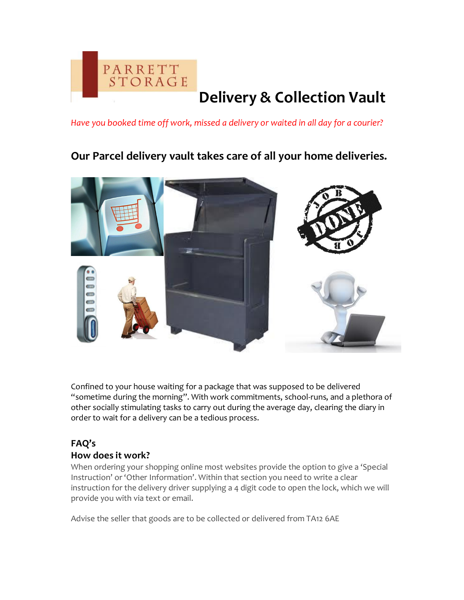

# **Delivery & Collection Vault**

*Have you booked time off work, missed a delivery or waited in all day for a courier?*

**Our Parcel delivery vault takes care of all your home deliveries.**



Confined to your house waiting for a package that was supposed to be delivered "sometime during the morning". With work commitments, school-runs, and a plethora of other socially stimulating tasks to carry out during the average day, clearing the diary in order to wait for a delivery can be a tedious process.

## **FAQ's How does it work?**

When ordering your shopping online most websites provide the option to give a 'Special Instruction' or 'Other Information'. Within that section you need to write a clear instruction for the delivery driver supplying a 4 digit code to open the lock, which we will provide you with via text or email.

Advise the seller that goods are to be collected or delivered from TA12 6AE